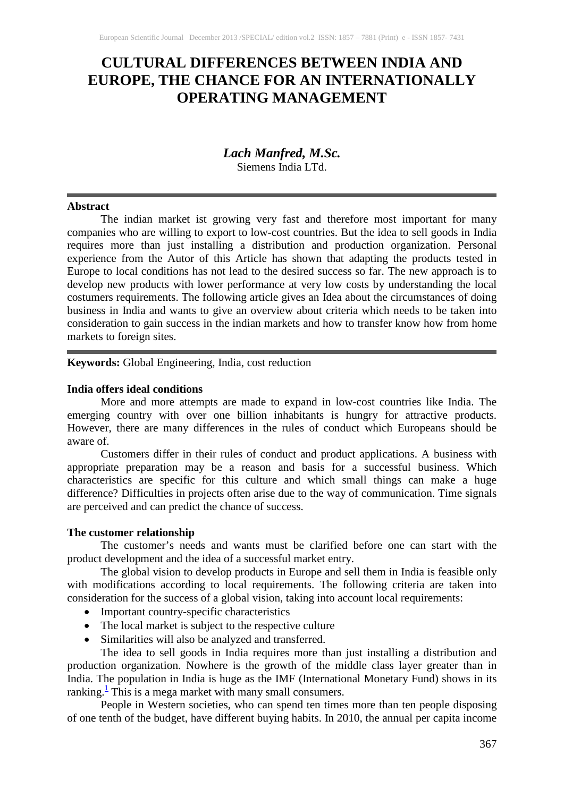# **CULTURAL DIFFERENCES BETWEEN INDIA AND EUROPE, THE CHANCE FOR AN INTERNATIONALLY OPERATING MANAGEMENT**

# *Lach Manfred, M.Sc.* Siemens India LTd.

#### **Abstract**

The indian market ist growing very fast and therefore most important for many companies who are willing to export to low-cost countries. But the idea to sell goods in India requires more than just installing a distribution and production organization. Personal experience from the Autor of this Article has shown that adapting the products tested in Europe to local conditions has not lead to the desired success so far. The new approach is to develop new products with lower performance at very low costs by understanding the local costumers requirements. The following article gives an Idea about the circumstances of doing business in India and wants to give an overview about criteria which needs to be taken into consideration to gain success in the indian markets and how to transfer know how from home markets to foreign sites.

### **Keywords:** Global Engineering, India, cost reduction

#### **India offers ideal conditions**

More and more attempts are made to expand in low-cost countries like India. The emerging country with over one billion inhabitants is hungry for attractive products. However, there are many differences in the rules of conduct which Europeans should be aware of.

Customers differ in their rules of conduct and product applications. A business with appropriate preparation may be a reason and basis for a successful business. Which characteristics are specific for this culture and which small things can make a huge difference? Difficulties in projects often arise due to the way of communication. Time signals are perceived and can predict the chance of success.

#### **The customer relationship**

The customer's needs and wants must be clarified before one can start with the product development and the idea of a successful market entry.

The global vision to develop products in Europe and sell them in India is feasible only with modifications according to local requirements. The following criteria are taken into consideration for the success of a global vision, taking into account local requirements:

- Important country-specific characteristics
- The local market is subject to the respective culture
- Similarities will also be analyzed and transferred.

The idea to sell goods in India requires more than just installing a distribution and production organization. Nowhere is the growth of the middle class layer greater than in India. The population in India is huge as the IMF (International Monetary Fund) shows in its ranking. $\frac{1}{1}$  This is a mega market with many small consumers.

People in Western societies, who can spend ten times more than ten people disposing of one tenth of the budget, have different buying habits. In 2010, the annual per capita income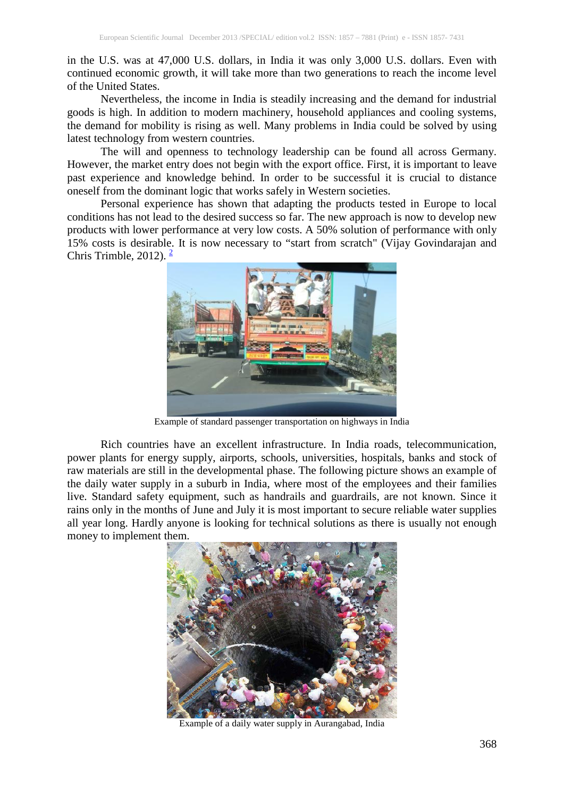in the U.S. was at 47,000 U.S. dollars, in India it was only 3,000 U.S. dollars. Even with continued economic growth, it will take more than two generations to reach the income level of the United States.

Nevertheless, the income in India is steadily increasing and the demand for industrial goods is high. In addition to modern machinery, household appliances and cooling systems, the demand for mobility is rising as well. Many problems in India could be solved by using latest technology from western countries.

The will and openness to technology leadership can be found all across Germany. However, the market entry does not begin with the export office. First, it is important to leave past experience and knowledge behind. In order to be successful it is crucial to distance oneself from the dominant logic that works safely in Western societies.

Personal experience has shown that adapting the products tested in Europe to local conditions has not lead to the desired success so far. The new approach is now to develop new products with lower performance at very low costs. A 50% solution of performance with only 15% costs is desirable. It is now necessary to "start from scratch" (Vijay Govindarajan and Chris Trimble, 2012).  $\frac{2}{3}$ 



Example of standard passenger transportation on highways in India

Rich countries have an excellent infrastructure. In India roads, telecommunication, power plants for energy supply, airports, schools, universities, hospitals, banks and stock of raw materials are still in the developmental phase. The following picture shows an example of the daily water supply in a suburb in India, where most of the employees and their families live. Standard safety equipment, such as handrails and guardrails, are not known. Since it rains only in the months of June and July it is most important to secure reliable water supplies all year long. Hardly anyone is looking for technical solutions as there is usually not enough money to implement them.



Example of a daily water supply in Aurangabad, India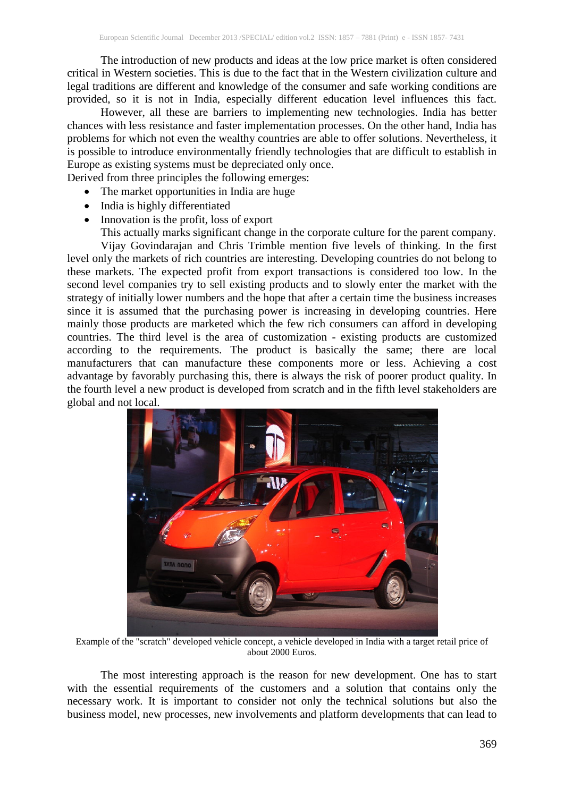The introduction of new products and ideas at the low price market is often considered critical in Western societies. This is due to the fact that in the Western civilization culture and legal traditions are different and knowledge of the consumer and safe working conditions are provided, so it is not in India, especially different education level influences this fact.

However, all these are barriers to implementing new technologies. India has better chances with less resistance and faster implementation processes. On the other hand, India has problems for which not even the wealthy countries are able to offer solutions. Nevertheless, it is possible to introduce environmentally friendly technologies that are difficult to establish in Europe as existing systems must be depreciated only once. Derived from three principles the following emerges:

- The market opportunities in India are huge
- India is highly differentiated
- Innovation is the profit, loss of export

This actually marks significant change in the corporate culture for the parent company. Vijay Govindarajan and Chris Trimble mention five levels of thinking. In the first level only the markets of rich countries are interesting. Developing countries do not belong to these markets. The expected profit from export transactions is considered too low. In the second level companies try to sell existing products and to slowly enter the market with the strategy of initially lower numbers and the hope that after a certain time the business increases since it is assumed that the purchasing power is increasing in developing countries. Here mainly those products are marketed which the few rich consumers can afford in developing countries. The third level is the area of customization - existing products are customized according to the requirements. The product is basically the same; there are local manufacturers that can manufacture these components more or less. Achieving a cost advantage by favorably purchasing this, there is always the risk of poorer product quality. In the fourth level a new product is developed from scratch and in the fifth level stakeholders are global and not local.



Example of the "scratch" developed vehicle concept, a vehicle developed in India with a target retail price of about 2000 Euros.

The most interesting approach is the reason for new development. One has to start with the essential requirements of the customers and a solution that contains only the necessary [work. It is important to consider not only the technical solutions but also the](http://upload.wikimedia.org/wikipedia/commons/0/09/Tata_Nano_S) business model, new processes, new involvements and platform developments that can lead to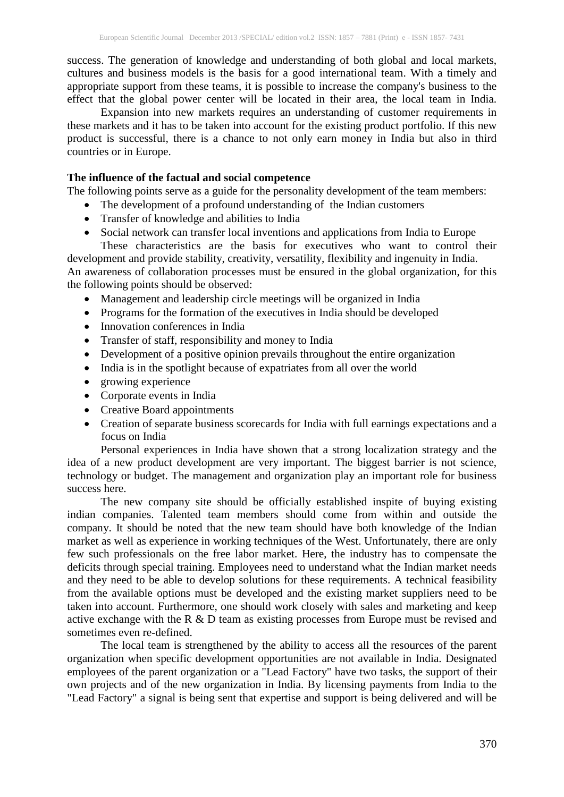success. The generation of knowledge and understanding of both global and local markets, cultures and business models is the basis for a good international team. With a timely and appropriate support from these teams, it is possible to increase the company's business to the effect that the global power center will be located in their area, the local team in India.

Expansion into new markets requires an understanding of customer requirements in these markets and it has to be taken into account for the existing product portfolio. If this new product is successful, there is a chance to not only earn money in India but also in third countries or in Europe.

#### **The influence of the factual and social competence**

The following points serve as a guide for the personality development of the team members:

- The development of a profound understanding of the Indian customers
- Transfer of knowledge and abilities to India
- Social network can transfer local inventions and applications from India to Europe These characteristics are the basis for executives who want to control their

development and provide stability, creativity, versatility, flexibility and ingenuity in India. An awareness of collaboration processes must be ensured in the global organization, for this the following points should be observed:

- Management and leadership circle meetings will be organized in India
- Programs for the formation of the executives in India should be developed
- Innovation conferences in India
- Transfer of staff, responsibility and money to India
- Development of a positive opinion prevails throughout the entire organization
- India is in the spotlight because of expatriates from all over the world
- growing experience
- Corporate events in India
- Creative Board appointments
- Creation of separate business scorecards for India with full earnings expectations and a focus on India

Personal experiences in India have shown that a strong localization strategy and the idea of a new product development are very important. The biggest barrier is not science, technology or budget. The management and organization play an important role for business success here.

The new company site should be officially established inspite of buying existing indian companies. Talented team members should come from within and outside the company. It should be noted that the new team should have both knowledge of the Indian market as well as experience in working techniques of the West. Unfortunately, there are only few such professionals on the free labor market. Here, the industry has to compensate the deficits through special training. Employees need to understand what the Indian market needs and they need to be able to develop solutions for these requirements. A technical feasibility from the available options must be developed and the existing market suppliers need to be taken into account. Furthermore, one should work closely with sales and marketing and keep active exchange with the R & D team as existing processes from Europe must be revised and sometimes even re-defined.

The local team is strengthened by the ability to access all the resources of the parent organization when specific development opportunities are not available in India. Designated employees of the parent organization or a "Lead Factory" have two tasks, the support of their own projects and of the new organization in India. By licensing payments from India to the "Lead Factory" a signal is being sent that expertise and support is being delivered and will be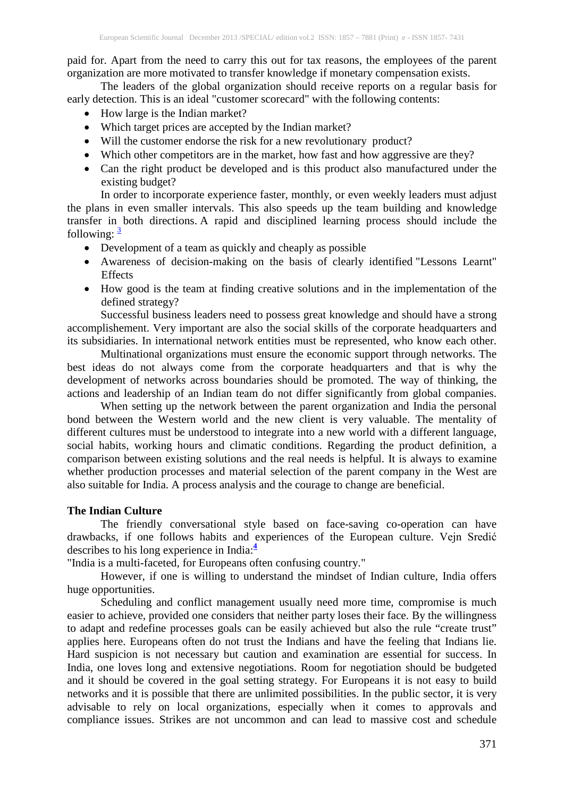paid for. Apart from the need to carry this out for tax reasons, the employees of the parent organization are more motivated to transfer knowledge if monetary compensation exists.

The leaders of the global organization should receive reports on a regular basis for early detection. This is an ideal "customer scorecard" with the following contents:

- How large is the Indian market?
- Which target prices are accepted by the Indian market?
- Will the customer endorse the risk for a new revolutionary product?
- Which other competitors are in the market, how fast and how aggressive are they?
- Can the right product be developed and is this product also manufactured under the existing budget?

In order to incorporate experience faster, monthly, or even weekly leaders must adjust the plans in even smaller intervals. This also speeds up the team building and knowledge transfer in both directions. A rapid and disciplined learning process should include the following:  $\frac{3}{2}$ 

- Development of a team as quickly and cheaply as possible
- Awareness of decision-making on the basis of clearly identified "Lessons Learnt" Effects
- How good is the team at finding creative solutions and in the implementation of the defined strategy?

Successful business leaders need to possess great knowledge and should have a strong accomplishement. Very important are also the social skills of the corporate headquarters and its subsidiaries. In international network entities must be represented, who know each other.

Multinational organizations must ensure the economic support through networks. The best ideas do not always come from the corporate headquarters and that is why the development of networks across boundaries should be promoted. The way of thinking, the actions and leadership of an Indian team do not differ significantly from global companies.

When setting up the network between the parent organization and India the personal bond between the Western world and the new client is very valuable. The mentality of different cultures must be understood to integrate into a new world with a different language, social habits, working hours and climatic conditions. Regarding the product definition, a comparison between existing solutions and the real needs is helpful. It is always to examine whether production processes and material selection of the parent company in the West are also suitable for India. A process analysis and the courage to change are beneficial.

## **The Indian Culture**

The friendly conversational style based on face-saving co-operation can have drawbacks, if one follows habits and experiences of the European culture. Vejn Sredić describes to his long experience in India: **4**

"India is a multi-faceted, for Europeans often confusing country."

However, if one is willing to understand the mindset of Indian culture, India offers huge opportunities.

Scheduling and conflict management usually need more time, compromise is much easier to achieve, provided one considers that neither party loses their face. By the willingness to adapt and redefine processes goals can be easily achieved but also the rule "create trust" applies here. Europeans often do not trust the Indians and have the feeling that Indians lie. Hard suspicion is not necessary but caution and examination are essential for success. In India, one loves long and extensive negotiations. Room for negotiation should be budgeted and it should be covered in the goal setting strategy. For Europeans it is not easy to build networks and it is possible that there are unlimited possibilities. In the public sector, it is very advisable to rely on local organizations, especially when it comes to approvals and compliance issues. Strikes are not uncommon and can lead to massive cost and schedule